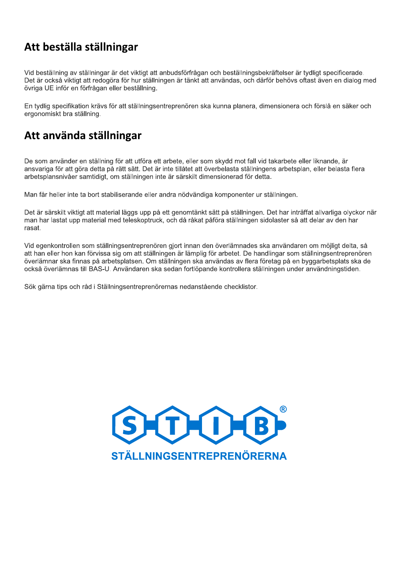### Att beställa ställningar

Vid beställning av ställningar är det viktigt att anbudsförfrågan och beställningsbekräftelser är tydligt specificerade. Det är också viktigt att redogöra för hur ställningen är tänkt att användas, och därför behövs oftast även en dialog med övriga UE inför en förfrågan eller beställning.

En tydlig specifikation krävs för att ställningsentreprenören ska kunna planera, dimensionera och förslå en säker och ergonomiskt bra ställning.

### Att använda ställningar

De som använder en ställning för att utföra ett arbete, eller som skydd mot fall vid takarbete eller liknande, är ansvariga för att göra detta på rätt sätt. Det är inte tillåtet att överbelasta ställningens arbetsplan, eller belasta flera arbetsplansnivåer samtidigt, om ställningen inte är särskilt dimensionerad för detta.

Man får heller inte ta bort stabiliserande eller andra nödvändiga komponenter ur ställningen.

Det är särskilt viktigt att material läggs upp på ett genomtänkt sätt på ställningen. Det har inträffat allvarliga olyckor när man har lastat upp material med teleskoptruck, och då råkat påföra ställningen sidolaster så att delar av den har rasat.

Vid egenkontrollen som ställningsentreprenören gjort innan den överlämnades ska användaren om möjligt delta, så att han eller hon kan förvissa sig om att ställningen är lämplig för arbetet. De handlingar som ställningsentreprenören överlämnar ska finnas på arbetsplatsen. Om ställningen ska användas av flera företag på en byggarbetsplats ska de också överlämnas till BAS-U. Användaren ska sedan fortlöpande kontrollera ställningen under användningstiden.

Sök gärna tips och råd i Ställningsentreprenörernas nedanstående checklistor.

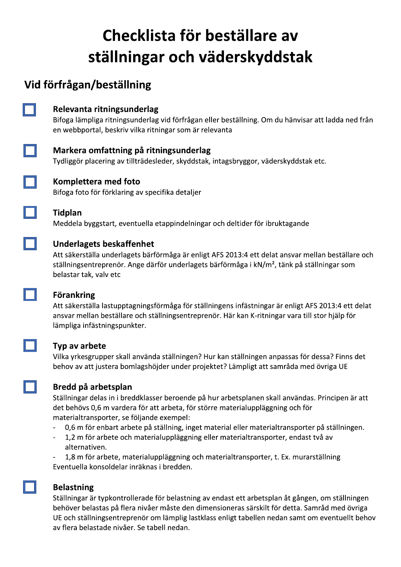# Checklista för beställare av ställningar och väderskyddstak

## Vid förfrågan/beställning



### Relevanta ritningsunderlag

Bifoga lämpliga ritningsunderlag vid förfrågan eller beställning. Om du hänvisar att ladda ned från en webbportal, beskriv vilka ritningar som är relevanta

### Markera omfattning på ritningsunderlag

Tydliggör placering av tillträdesleder, skyddstak, intagsbryggor, väderskyddstak etc.



### Komplettera med foto

Bifoga foto för förklaring av specifika detaljer



### **Tidplan**

Meddela byggstart, eventuella etappindelningar och deltider för ibruktagande

### **Underlagets beskaffenhet**

Att säkerställa underlagets bärförmåga är enligt AFS 2013:4 ett delat ansvar mellan beställare och ställningsentreprenör. Ange därför underlagets bärförmåga i kN/m<sup>2</sup>, tänk på ställningar som belastar tak, valv etc

### **Förankring**

Att säkerställa lastupptagningsförmåga för ställningens infästningar är enligt AFS 2013:4 ett delat ansvar mellan beställare och ställningsentreprenör. Här kan K-ritningar vara till stor hjälp för lämpliga infästningspunkter.

#### Typ av arbete

Vilka yrkesgrupper skall använda ställningen? Hur kan ställningen anpassas för dessa? Finns det behov av att justera bomlagshöjder under projektet? Lämpligt att samråda med övriga UE



### Bredd på arbetsplan

Ställningar delas in i breddklasser beroende på hur arbetsplanen skall användas. Principen är att det behövs 0,6 m vardera för att arbeta, för större materialuppläggning och för materialtransporter, se följande exempel:

- 0,6 m för enbart arbete på ställning, inget material eller materialtransporter på ställningen.  $\equiv$
- 1,2 m för arbete och materialuppläggning eller materialtransporter, endast två av alternativen.

1,8 m för arbete, materialuppläggning och materialtransporter, t. Ex. murarställning Eventuella konsoldelar inräknas i bredden.

### **Belastning**

Ställningar är typkontrollerade för belastning av endast ett arbetsplan åt gången, om ställningen behöver belastas på flera nivåer måste den dimensioneras särskilt för detta. Samråd med övriga UE och ställningsentreprenör om lämplig lastklass enligt tabellen nedan samt om eventuellt behov av flera belastade nivåer. Se tabell nedan.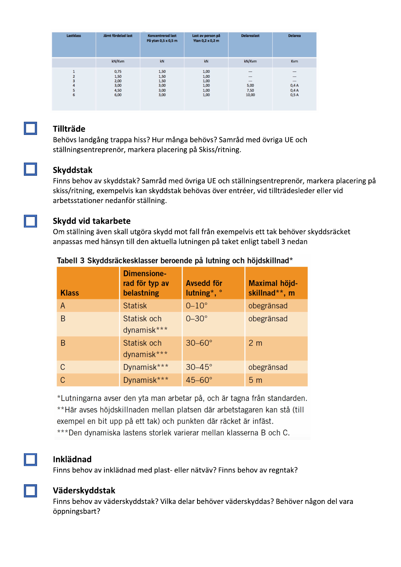| <b>Lastklass</b> | Jämt fördelad last                           | <b>Koncentrerad last</b><br>På ytan 0,5 x 0,5 m | Last av person på<br>Ytan 0,2 x 0,2 m        | <b>Delarealast</b>                                                              | <b>Delarea</b>                                                                           |
|------------------|----------------------------------------------|-------------------------------------------------|----------------------------------------------|---------------------------------------------------------------------------------|------------------------------------------------------------------------------------------|
|                  | kN/Kvm                                       | kN                                              | kN                                           | kN/Kvm                                                                          | <b>Kvm</b>                                                                               |
| з<br>4<br>ь<br>6 | 0,75<br>1,50<br>2,00<br>3,00<br>4,50<br>6,00 | 1,50<br>1,50<br>1,50<br>3,00<br>3,00<br>3,00    | 1,00<br>1,00<br>1,00<br>1,00<br>1,00<br>1,00 | $\overline{\phantom{a}}$<br>$\overline{a}$<br>$\cdots$<br>5,00<br>7,50<br>10,00 | $\overline{\phantom{a}}$<br>$\overline{\phantom{a}}$<br>$\cdots$<br>0,4A<br>0,4A<br>0,5A |



#### **Tillträde**

Behövs landgång trappa hiss? Hur många behövs? Samråd med övriga UE och ställningsentreprenör, markera placering på Skiss/ritning.

#### Skyddstak

Finns behov av skyddstak? Samråd med övriga UE och ställningsentreprenör, markera placering på skiss/ritning, exempelvis kan skyddstak behövas över entréer, vid tillträdesleder eller vid arbetsstationer nedanför ställning.



#### **Skydd vid takarbete**

Om ställning även skall utgöra skydd mot fall från exempelvis ett tak behöver skyddsräcket anpassas med hänsyn till den aktuella lutningen på taket enligt tabell 3 nedan

| <b>Klass</b>   | <b>Dimensione-</b><br>rad för typ av<br>belastning | <b>Avsedd för</b><br>lutning*, $\degree$ | Maximal höjd-<br>skillnad**, m |
|----------------|----------------------------------------------------|------------------------------------------|--------------------------------|
| $\overline{A}$ | <b>Statisk</b>                                     | $0-10$ °                                 | obegränsad                     |
| B              | Statisk och<br>dynamisk***                         | $0 - 30^\circ$                           | obegränsad                     |
| B              | Statisk och<br>dynamisk***                         | $30-60^\circ$                            | 2 <sub>m</sub>                 |
| C              | Dynamisk***                                        | $30-45^\circ$                            | obegränsad                     |
| C              | Dynamisk***                                        | $45-60^\circ$                            | 5 <sub>m</sub>                 |

#### Tabell 3 Skyddsräckesklasser beroende på lutning och höjdskillnad\*

\*Lutningarna avser den yta man arbetar på, och är tagna från standarden. \*\*Här avses höjdskillnaden mellan platsen där arbetstagaren kan stå (till exempel en bit upp på ett tak) och punkten där räcket är infäst. \*\*\*Den dynamiska lastens storlek varierar mellan klasserna B och C.



#### **Inklädnad**

Finns behov av inklädnad med plast- eller nätväv? Finns behov av regntak?



### Väderskyddstak

Finns behov av väderskyddstak? Vilka delar behöver väderskyddas? Behöver någon del vara öppningsbart?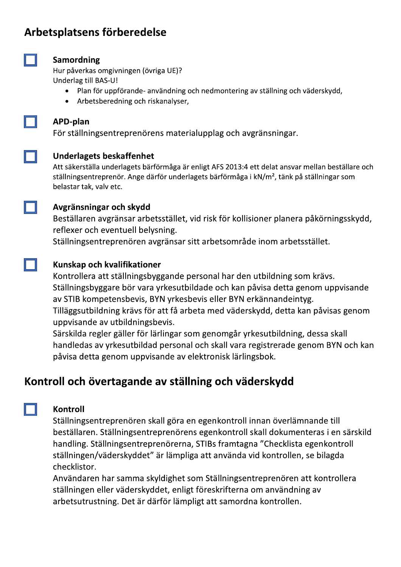### Arbetsplatsens förberedelse



#### Samordning

Hur påverkas omgivningen (övriga UE)? Underlag till BAS-U!

- Plan för uppförande- användning och nedmontering av ställning och väderskydd,  $\bullet$
- Arbetsberedning och riskanalyser,  $\bullet$

#### **APD-plan**

För ställningsentreprenörens materialupplag och avgränsningar.



#### **Underlagets beskaffenhet**

Att säkerställa underlagets bärförmåga är enligt AFS 2013:4 ett delat ansvar mellan beställare och ställningsentreprenör. Ange därför underlagets bärförmåga i kN/m<sup>2</sup>, tänk på ställningar som belastar tak, valv etc.



### Avgränsningar och skydd

Beställaren avgränsar arbetsstället, vid risk för kollisioner planera påkörningsskydd, reflexer och eventuell belysning.

Ställningsentreprenören avgränsar sitt arbetsområde inom arbetsstället.

### Kunskap och kvalifikationer

Kontrollera att ställningsbyggande personal har den utbildning som krävs. Ställningsbyggare bör vara yrkesutbildade och kan påvisa detta genom uppvisande av STIB kompetensbevis, BYN yrkesbevis eller BYN erkännandeintyg. Tilläggsutbildning krävs för att få arbeta med väderskydd, detta kan påvisas genom uppvisande av utbildningsbevis.

Särskilda regler gäller för lärlingar som genomgår yrkesutbildning, dessa skall handledas av yrkesutbildad personal och skall vara registrerade genom BYN och kan påvisa detta genom uppvisande av elektronisk lärlingsbok.

### Kontroll och övertagande av ställning och väderskydd



### Kontroll

Ställningsentreprenören skall göra en egenkontroll innan överlämnande till beställaren. Ställningsentreprenörens egenkontroll skall dokumenteras i en särskild handling. Ställningsentreprenörerna, STIBs framtagna "Checklista egenkontroll ställningen/väderskyddet" är lämpliga att använda vid kontrollen, se bilagda checklistor.

Användaren har samma skyldighet som Ställningsentreprenören att kontrollera ställningen eller väderskyddet, enligt föreskrifterna om användning av arbetsutrustning. Det är därför lämpligt att samordna kontrollen.